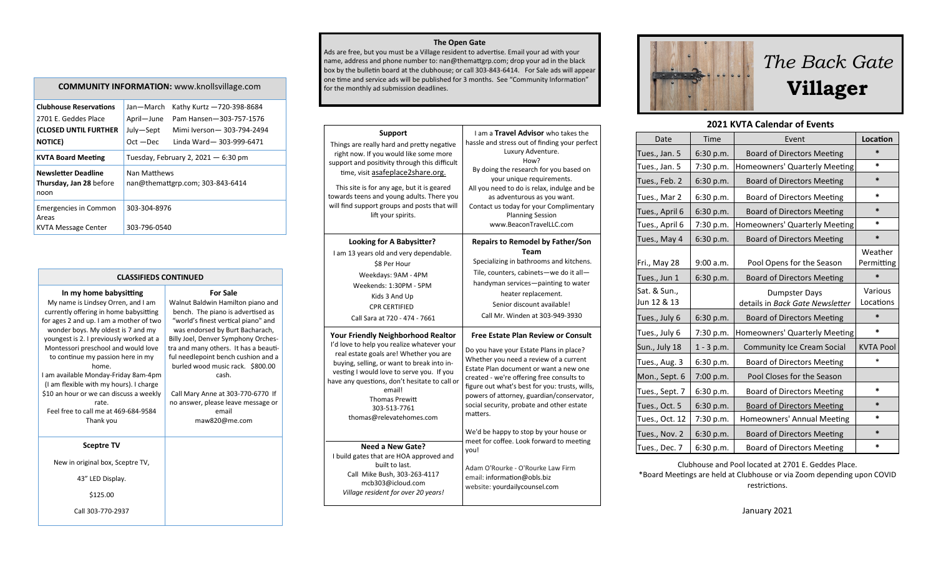**The Open Gate** 

Ads are free, but you must be a Village resident to advertise. Email your ad with your name, address and phone number to: nan@themattgrp.com; drop your ad in the black box by the bulletin board at the clubhouse; or call 303-843-6414. For Sale ads will appear one time and service ads will be published for 3 months. See "Community Information" for the monthly ad submission deadlines.

| Support<br>Things are really hard and pretty negative<br>right now. If you would like some more<br>support and positivity through this difficult<br>time, visit asafeplace2share.org.<br>This site is for any age, but it is geared<br>towards teens and young adults. There you<br>will find support groups and posts that will<br>lift your spirits. | I am a <b>Travel Advisor</b> who takes the<br>hassle and stress out of finding your perfect<br>Luxury Adventure.<br>How?<br>By doing the research for you based on<br>your unique requirements.<br>All you need to do is relax, indulge and be<br>as adventurous as you want.<br>Contact us today for your Complimentary<br><b>Planning Session</b><br>www.BeaconTravelLLC.com |
|--------------------------------------------------------------------------------------------------------------------------------------------------------------------------------------------------------------------------------------------------------------------------------------------------------------------------------------------------------|--------------------------------------------------------------------------------------------------------------------------------------------------------------------------------------------------------------------------------------------------------------------------------------------------------------------------------------------------------------------------------|
| Looking for A Babysitter?                                                                                                                                                                                                                                                                                                                              | <b>Repairs to Remodel by Father/Son</b>                                                                                                                                                                                                                                                                                                                                        |
| I am 13 years old and very dependable.                                                                                                                                                                                                                                                                                                                 | Team                                                                                                                                                                                                                                                                                                                                                                           |
| \$8 Per Hour                                                                                                                                                                                                                                                                                                                                           | Specializing in bathrooms and kitchens.                                                                                                                                                                                                                                                                                                                                        |
| Weekdays: 9AM - 4PM                                                                                                                                                                                                                                                                                                                                    | Tile, counters, cabinets-we do it all-                                                                                                                                                                                                                                                                                                                                         |
| Weekends: 1:30PM - 5PM                                                                                                                                                                                                                                                                                                                                 | handyman services-painting to water                                                                                                                                                                                                                                                                                                                                            |
| Kids 3 And Up                                                                                                                                                                                                                                                                                                                                          | heater replacement.                                                                                                                                                                                                                                                                                                                                                            |
| <b>CPR CERTIFIED</b>                                                                                                                                                                                                                                                                                                                                   | Senior discount available!                                                                                                                                                                                                                                                                                                                                                     |
| Call Sara at 720 - 474 - 7661                                                                                                                                                                                                                                                                                                                          | Call Mr. Winden at 303-949-3930                                                                                                                                                                                                                                                                                                                                                |
| <b>Your Friendly Neighborhood Realtor</b>                                                                                                                                                                                                                                                                                                              | Free Estate Plan Review or Consult                                                                                                                                                                                                                                                                                                                                             |
| I'd love to help you realize whatever your                                                                                                                                                                                                                                                                                                             | Do you have your Estate Plans in place?                                                                                                                                                                                                                                                                                                                                        |
| real estate goals are! Whether you are                                                                                                                                                                                                                                                                                                                 | Whether you need a review of a current                                                                                                                                                                                                                                                                                                                                         |
| buying, selling, or want to break into in-                                                                                                                                                                                                                                                                                                             | Estate Plan document or want a new one                                                                                                                                                                                                                                                                                                                                         |
| vesting I would love to serve you. If you                                                                                                                                                                                                                                                                                                              | created - we're offering free consults to                                                                                                                                                                                                                                                                                                                                      |
| have any questions, don't hesitate to call or                                                                                                                                                                                                                                                                                                          | figure out what's best for you: trusts, wills,                                                                                                                                                                                                                                                                                                                                 |
| email!                                                                                                                                                                                                                                                                                                                                                 | powers of attorney, guardian/conservator,                                                                                                                                                                                                                                                                                                                                      |
| <b>Thomas Prewitt</b>                                                                                                                                                                                                                                                                                                                                  | social security, probate and other estate                                                                                                                                                                                                                                                                                                                                      |
| 303-513-7761                                                                                                                                                                                                                                                                                                                                           | matters.                                                                                                                                                                                                                                                                                                                                                                       |
| thomas@relevatehomes.com                                                                                                                                                                                                                                                                                                                               | We'd be happy to stop by your house or                                                                                                                                                                                                                                                                                                                                         |
| <b>Need a New Gate?</b><br>I build gates that are HOA approved and<br>built to last.<br>Call Mike Bush, 303-263-4117<br>mcb303@icloud.com<br>Village resident for over 20 years!                                                                                                                                                                       | meet for coffee. Look forward to meeting<br>you!<br>Adam O'Rourke - O'Rourke Law Firm<br>email: information@obls.biz<br>website: yourdailycounsel.com                                                                                                                                                                                                                          |





## **2021 KVTA Calendar of Events**

| Date                        | Time         | Event                                                   | Location              |
|-----------------------------|--------------|---------------------------------------------------------|-----------------------|
| Tues., Jan. 5               | 6:30 p.m.    | <b>Board of Directors Meeting</b>                       | $\ast$                |
| Tues., Jan. 5               | 7:30 p.m.    | Homeowners' Quarterly Meeting                           | $\ast$                |
| Tues., Feb. 2               | 6:30 p.m.    | <b>Board of Directors Meeting</b>                       | $\ast$                |
| Tues., Mar 2                | 6:30 p.m.    | <b>Board of Directors Meeting</b>                       | *                     |
| Tues., April 6              | 6:30 p.m.    | <b>Board of Directors Meeting</b>                       | $\ast$                |
| Tues., April 6              | 7:30 p.m.    | Homeowners' Quarterly Meeting                           | $\ast$                |
| Tues., May 4                | 6:30 p.m.    | <b>Board of Directors Meeting</b>                       | $\ast$                |
| Fri., May 28                | 9:00 a.m.    | Pool Opens for the Season                               | Weather<br>Permitting |
| Tues., Jun 1                | 6:30 p.m.    | <b>Board of Directors Meeting</b>                       | $\ast$                |
| Sat. & Sun.,<br>Jun 12 & 13 |              | <b>Dumpster Days</b><br>details in Back Gate Newsletter | Various<br>Locations  |
| Tues., July 6               | 6:30 p.m.    | <b>Board of Directors Meeting</b>                       | $\ast$                |
| Tues., July 6               | 7:30 p.m.    | Homeowners' Quarterly Meeting                           | $\ast$                |
| Sun., July 18               | $1 - 3 p.m.$ | <b>Community Ice Cream Social</b>                       | <b>KVTA Pool</b>      |
| Tues., Aug. 3               | 6:30 p.m.    | <b>Board of Directors Meeting</b>                       | $\ast$                |
| Mon., Sept. 6               | 7:00 p.m.    | Pool Closes for the Season                              |                       |
| Tues., Sept. 7              | 6:30 p.m.    | <b>Board of Directors Meeting</b>                       | $\ast$                |
| Tues., Oct. 5               | 6:30 p.m.    | <b>Board of Directors Meeting</b>                       | $\ast$                |
| Tues., Oct. 12              | 7:30 p.m.    | Homeowners' Annual Meeting                              | $\ast$                |
| Tues., Nov. 2               | 6:30 p.m.    | <b>Board of Directors Meeting</b>                       | $\ast$                |
| Tues., Dec. 7               | 6:30 p.m.    | <b>Board of Directors Meeting</b>                       | $\ast$                |

Clubhouse and Pool located at 2701 E. Geddes Place. \*Board Meetings are held at Clubhouse or via Zoom depending upon COVID restrictions.

## **COMMUNITY INFORMATION:** www.knollsvillage.com

| <b>Clubhouse Reservations</b><br>2701 E. Geddes Place<br>(CLOSED UNTIL FURTHER | Jan-March<br>April-June                          | Kathy Kurtz -720-398-8684<br>Pam Hansen-303-757-1576<br>Mimi Iverson-303-794-2494 |
|--------------------------------------------------------------------------------|--------------------------------------------------|-----------------------------------------------------------------------------------|
|                                                                                | July—Sept                                        |                                                                                   |
| <b>NOTICE</b> )                                                                | $Oct - Dec$                                      | Linda Ward-303-999-6471                                                           |
| <b>KVTA Board Meeting</b>                                                      | Tuesday, February 2, 2021 $-6:30$ pm             |                                                                                   |
| <b>Newsletter Deadline</b><br>Thursday, Jan 28 before<br>noon                  | Nan Matthews<br>nan@themattgrp.com; 303-843-6414 |                                                                                   |
| <b>Emergencies in Common</b><br>Areas<br>KVTA Message Center                   | 303-304-8976<br>303-796-0540                     |                                                                                   |
|                                                                                |                                                  |                                                                                   |

| <b>CLASSIFIEDS CONTINUED</b>                                                                                                                                                                                                                                                                                                                                                                                                                                                                                        |                                                                                                                                                                                                                                                                                                                                                                                                                                              |  |  |  |  |
|---------------------------------------------------------------------------------------------------------------------------------------------------------------------------------------------------------------------------------------------------------------------------------------------------------------------------------------------------------------------------------------------------------------------------------------------------------------------------------------------------------------------|----------------------------------------------------------------------------------------------------------------------------------------------------------------------------------------------------------------------------------------------------------------------------------------------------------------------------------------------------------------------------------------------------------------------------------------------|--|--|--|--|
| In my home babysitting<br>My name is Lindsey Orren, and I am<br>currently offering in home babysitting<br>for ages 2 and up. I am a mother of two<br>wonder boys. My oldest is 7 and my<br>youngest is 2. I previously worked at a<br>Montessori preschool and would love<br>to continue my passion here in my<br>home.<br>I am available Monday-Friday 8am-4pm<br>(I am flexible with my hours). I charge<br>\$10 an hour or we can discuss a weekly<br>rate.<br>Feel free to call me at 469-684-9584<br>Thank you | <b>For Sale</b><br>Walnut Baldwin Hamilton piano and<br>bench. The piano is advertised as<br>"world's finest vertical piano" and<br>was endorsed by Burt Bacharach,<br>Billy Joel, Denver Symphony Orches-<br>tra and many others. It has a beauti-<br>ful needlepoint bench cushion and a<br>burled wood music rack. \$800.00<br>cash.<br>Call Mary Anne at 303-770-6770 If<br>no answer, please leave message or<br>email<br>maw820@me.com |  |  |  |  |
| <b>Sceptre TV</b>                                                                                                                                                                                                                                                                                                                                                                                                                                                                                                   |                                                                                                                                                                                                                                                                                                                                                                                                                                              |  |  |  |  |
| New in original box, Sceptre TV,                                                                                                                                                                                                                                                                                                                                                                                                                                                                                    |                                                                                                                                                                                                                                                                                                                                                                                                                                              |  |  |  |  |
| 43" LED Display.                                                                                                                                                                                                                                                                                                                                                                                                                                                                                                    |                                                                                                                                                                                                                                                                                                                                                                                                                                              |  |  |  |  |
| \$125.00                                                                                                                                                                                                                                                                                                                                                                                                                                                                                                            |                                                                                                                                                                                                                                                                                                                                                                                                                                              |  |  |  |  |
| Call 303-770-2937                                                                                                                                                                                                                                                                                                                                                                                                                                                                                                   |                                                                                                                                                                                                                                                                                                                                                                                                                                              |  |  |  |  |